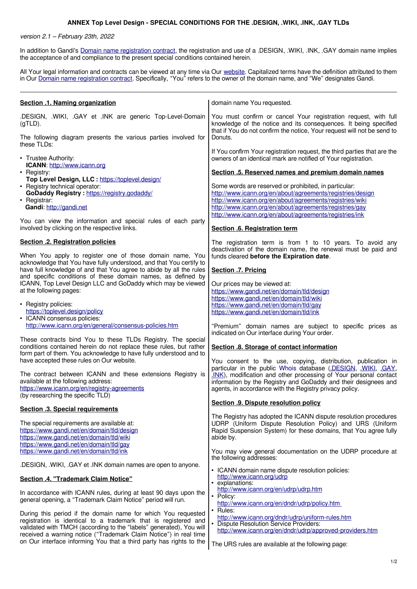## **ANNEX Top Level Design - SPECIAL CONDITIONS FOR THE .DESIGN, .WIKI, .INK, .GAY TLDs**

version 2.1 – February 23th, 2022

In addition to Gandi's [Domain name registration contract,](https://www.gandi.net/en/contracts/terms-of-service) the registration and use of a .DESIGN, .WIKI, .INK, .GAY domain name implies the acceptance of and compliance to the present special conditions contained herein.

All Your legal information and contracts can be viewed at any time via Our [website.](http://www.gandi.net/) Capitalized terms have the definition attributed to them in Our [Domain name registration contract.](https://www.gandi.net/en/contracts/terms-of-service) Specifically, "You" refers to the owner of the domain name, and "We" designates Gandi.

| Section .1. Naming organization                                                                                                                                                                                                      | domain name You requested.                                                                                                                                                                                                                                                                                                      |
|--------------------------------------------------------------------------------------------------------------------------------------------------------------------------------------------------------------------------------------|---------------------------------------------------------------------------------------------------------------------------------------------------------------------------------------------------------------------------------------------------------------------------------------------------------------------------------|
| .DESIGN, .WIKI, .GAY et .INK are generic Top-Level-Domain<br>$(gTLD)$ .                                                                                                                                                              | You must confirm or cancel Your registration request, with full<br>knowledge of the notice and its consequences. It being specified<br>that if You do not confirm the notice, Your request will not be send to                                                                                                                  |
| The following diagram presents the various parties involved for<br>these TLDs:                                                                                                                                                       | Donuts.                                                                                                                                                                                                                                                                                                                         |
| • Trustee Authority:<br>ICANN: http://www.icann.org                                                                                                                                                                                  | If You confirm Your registration request, the third parties that are the<br>owners of an identical mark are notified of Your registration.                                                                                                                                                                                      |
| • Registry:<br>Top Level Design, LLC : https://toplevel.design/                                                                                                                                                                      | Section .5. Reserved names and premium domain names                                                                                                                                                                                                                                                                             |
| • Registry technical operator:<br>GoDaddy Registry: https://registry.godaddy/<br>• Registrar:<br>Gandi: http://gandi.net                                                                                                             | Some words are reserved or prohibited, in particular:<br>http://www.icann.org/en/about/agreements/registries/design<br>http://www.icann.org/en/about/agreements/registries/wiki<br>http://www.icann.org/en/about/agreements/registries/gay<br>http://www.icann.org/en/about/agreements/registries/ink                           |
| You can view the information and special rules of each party<br>involved by clicking on the respective links.                                                                                                                        | Section .6. Registration term                                                                                                                                                                                                                                                                                                   |
| Section .2. Registration policies<br>When You apply to register one of those domain name, You                                                                                                                                        | The registration term is from 1 to 10 years. To avoid any<br>deactivation of the domain name, the renewal must be paid and<br>funds cleared before the Expiration date.                                                                                                                                                         |
| acknowledge that You have fully understood, and that You certify to<br>have full knowledge of and that You agree to abide by all the rules                                                                                           | Section .7. Pricing                                                                                                                                                                                                                                                                                                             |
| and specific conditions of these domain names, as defined by<br>ICANN, Top Level Design LLC and GoDaddy which may be viewed                                                                                                          | Our prices may be viewed at:                                                                                                                                                                                                                                                                                                    |
| at the following pages:<br>• Registry policies:<br>https://toplevel.design/policy<br>• ICANN consensus policies:                                                                                                                     | https://www.gandi.net/en/domain/tld/design<br>https://www.gandi.net/en/domain/tld/wiki<br>https://www.gandi.net/en/domain/tld/gay<br>https://www.gandi.net/en/domain/tld/ink                                                                                                                                                    |
| http://www.icann.org/en/general/consensus-policies.htm                                                                                                                                                                               | "Premium" domain names are subject to specific prices as<br>indicated on Our interface during Your order.                                                                                                                                                                                                                       |
| These contracts bind You to these TLDs Registry. The special<br>conditions contained herein do not replace these rules, but rather<br>form part of them. You acknowledge to have fully understood and to                             | Section .8. Storage of contact information                                                                                                                                                                                                                                                                                      |
| have accepted these rules on Our website.<br>The contract between ICANN and these extensions Registry is<br>available at the following address:<br>https://www.icann.org/en/registry-agreements<br>(by researching the specific TLD) | You consent to the use, copying, distribution, publication in<br>particular in the public Whois database (DESIGN, WIKI, GAY,<br>.INK), modification and other processing of Your personal contact<br>information by the Registry and GoDaddy and their designees and<br>agents, in accordance with the Registry privacy policy. |
| <b>Section .3. Special requirements</b>                                                                                                                                                                                              | Section .9. Dispute resolution policy                                                                                                                                                                                                                                                                                           |
| The special requirements are available at:<br>https://www.gandi.net/en/domain/tld/design<br>https://www.gandi.net/en/domain/tld/wiki<br>https://www.gandi.net/en/domain/tld/gay                                                      | The Registry has adopted the ICANN dispute resolution procedures<br>UDRP (Uniform Dispute Resolution Policy) and URS (Uniform<br>Rapid Suspension System) for these domains, that You agree fully<br>abide by.                                                                                                                  |
| https://www.gandi.net/en/domain/tld/ink                                                                                                                                                                                              | You may view general documentation on the UDRP procedure at<br>the following addresses:                                                                                                                                                                                                                                         |
| .DESIGN, .WIKI, .GAY et .INK domain names are open to anyone.                                                                                                                                                                        | • ICANN domain name dispute resolution policies:                                                                                                                                                                                                                                                                                |
| Section .4. "Trademark Claim Notice"                                                                                                                                                                                                 | http://www.icann.org/udrp<br>• explanations:                                                                                                                                                                                                                                                                                    |
| In accordance with ICANN rules, during at least 90 days upon the<br>general opening, a "Trademark Claim Notice" period will run.                                                                                                     | http://www.icann.org/en/udrp/udrp.htm<br>• Policy:                                                                                                                                                                                                                                                                              |
|                                                                                                                                                                                                                                      | http://www.icann.org/en/dndr/udrp/policy.htm                                                                                                                                                                                                                                                                                    |
| During this period if the domain name for which You requested<br>registration is identical to a trademark that is registered and<br>validated with TMCH (according to the "labels" generated), You will                              | $\cdot$ Rules:<br>http://www.icann.org/dndr/udrp/uniform-rules.htm<br>• Dispute Resolution Service Providers:<br>http://www.icann.org/en/dndr/udrp/approved-providers.htm                                                                                                                                                       |